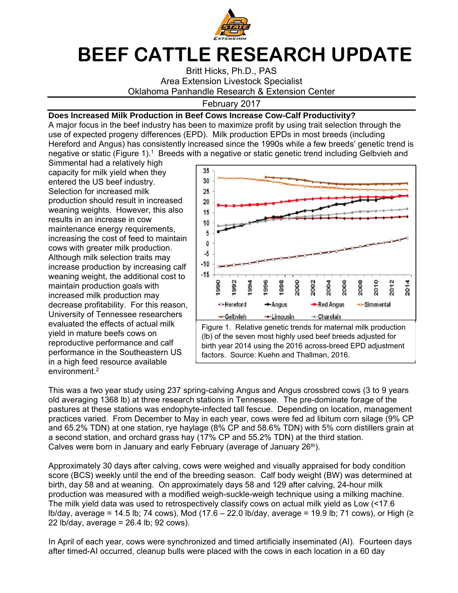

## **BEEF CATTLE RESEARCH UPDATE**

Britt Hicks, Ph.D., PAS Area Extension Livestock Specialist Oklahoma Panhandle Research & Extension Center

## February 2017

## **Does Increased Milk Production in Beef Cows Increase Cow-Calf Productivity?**

A major focus in the beef industry has been to maximize profit by using trait selection through the use of expected progeny differences (EPD). Milk production EPDs in most breeds (including Hereford and Angus) has consistently increased since the 1990s while a few breeds' genetic trend is negative or static (Figure 1).<sup>1</sup> Breeds with a negative or static genetic trend including Gelbvieh and

Simmental had a relatively high capacity for milk yield when they entered the US beef industry. Selection for increased milk production should result in increased weaning weights. However, this also results in an increase in cow maintenance energy requirements, increasing the cost of feed to maintain cows with greater milk production. Although milk selection traits may increase production by increasing calf weaning weight, the additional cost to maintain production goals with increased milk production may decrease profitability. For this reason, University of Tennessee researchers evaluated the effects of actual milk yield in mature beefs cows on reproductive performance and calf performance in the Southeastern US in a high feed resource available environment.<sup>2</sup>



This was a two year study using 237 spring-calving Angus and Angus crossbred cows (3 to 9 years old averaging 1368 lb) at three research stations in Tennessee. The pre-dominate forage of the pastures at these stations was endophyte-infected tall fescue. Depending on location, management practices varied. From December to May in each year, cows were fed ad libitum corn silage (9% CP and 65.2% TDN) at one station, rye haylage (8% CP and 58.6% TDN) with 5% corn distillers grain at a second station, and orchard grass hay (17% CP and 55.2% TDN) at the third station. Calves were born in January and early February (average of January 26<sup>th</sup>).

Approximately 30 days after calving, cows were weighed and visually appraised for body condition score (BCS) weekly until the end of the breeding season. Calf body weight (BW) was determined at birth, day 58 and at weaning. On approximately days 58 and 129 after calving, 24-hour milk production was measured with a modified weigh-suckle-weigh technique using a milking machine. The milk yield data was used to retrospectively classify cows on actual milk yield as Low (<17.6 lb/day, average = 14.5 lb; 74 cows), Mod (17.6 – 22.0 lb/day, average = 19.9 lb; 71 cows), or High (≥ 22 lb/day, average = 26.4 lb; 92 cows).

In April of each year, cows were synchronized and timed artificially inseminated (AI). Fourteen days after timed-AI occurred, cleanup bulls were placed with the cows in each location in a 60 day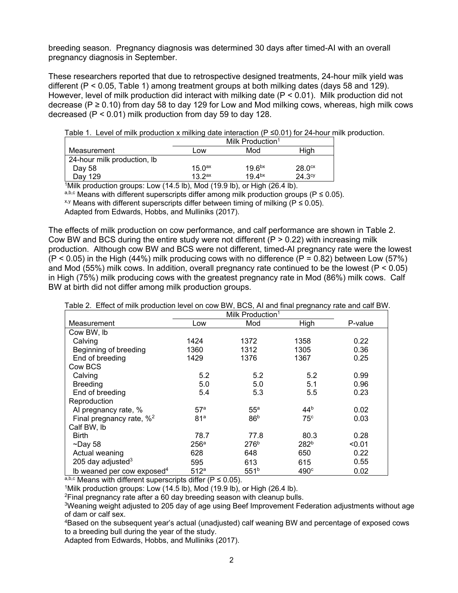breeding season. Pregnancy diagnosis was determined 30 days after timed-AI with an overall pregnancy diagnosis in September.

These researchers reported that due to retrospective designed treatments, 24-hour milk yield was different (P < 0.05, Table 1) among treatment groups at both milking dates (days 58 and 129). However, level of milk production did interact with milking date (P < 0.01). Milk production did not decrease ( $P \ge 0.10$ ) from day 58 to day 129 for Low and Mod milking cows, whereas, high milk cows decreased (P < 0.01) milk production from day 59 to day 128.

Table 1. Level of milk production x milking date interaction ( $P \le 0.01$ ) for 24-hour milk production.

|                             | Milk Production <sup>1</sup> |                    |                    |  |  |
|-----------------------------|------------------------------|--------------------|--------------------|--|--|
|                             |                              |                    |                    |  |  |
| Measurement                 | Low                          | Mod                | Hiah               |  |  |
| 24-hour milk production, lb |                              |                    |                    |  |  |
| Day 58                      | 15.0 <sup>ax</sup>           | 19.6 <sup>bx</sup> | 28.0 <sup>cx</sup> |  |  |
| Dav 129                     | 13.2 <sup>ax</sup>           | 19.4 <sup>bx</sup> | 24.3 <sup>cy</sup> |  |  |

<sup>1</sup>Milk production groups: Low (14.5 lb), Mod (19.9 lb), or High (26.4 lb).

a,b,c Means with different superscripts differ among milk production groups ( $P \le 0.05$ ).

 $x, y$  Means with different superscripts differ between timing of milking ( $P \le 0.05$ ).

Adapted from Edwards, Hobbs, and Mulliniks (2017).

The effects of milk production on cow performance, and calf performance are shown in Table 2. Cow BW and BCS during the entire study were not different  $(P > 0.22)$  with increasing milk production. Although cow BW and BCS were not different, timed-AI pregnancy rate were the lowest  $(P < 0.05)$  in the High (44%) milk producing cows with no difference (P = 0.82) between Low (57%) and Mod (55%) milk cows. In addition, overall pregnancy rate continued to be the lowest ( $P < 0.05$ ) in High (75%) milk producing cows with the greatest pregnancy rate in Mod (86%) milk cows. Calf BW at birth did not differ among milk production groups.

|                                        | r . <del>.</del><br>Milk Production <sup>1</sup> |                  |                  |         |
|----------------------------------------|--------------------------------------------------|------------------|------------------|---------|
| Measurement                            | Low                                              | Mod              | High             | P-value |
| Cow BW, lb                             |                                                  |                  |                  |         |
| Calving                                | 1424                                             | 1372             | 1358             | 0.22    |
| Beginning of breeding                  | 1360                                             | 1312             | 1305             | 0.36    |
| End of breeding                        | 1429                                             | 1376             | 1367             | 0.25    |
| Cow BCS                                |                                                  |                  |                  |         |
| Calving                                | 5.2                                              | 5.2              | 5.2              | 0.99    |
| <b>Breeding</b>                        | 5.0                                              | 5.0              | 5.1              | 0.96    |
| End of breeding                        | 5.4                                              | 5.3              | 5.5              | 0.23    |
| Reproduction                           |                                                  |                  |                  |         |
| Al pregnancy rate, %                   | 57 <sup>a</sup>                                  | 55 <sup>a</sup>  | 44 <sup>b</sup>  | 0.02    |
| Final pregnancy rate, $\frac{1}{2}$    | 81 <sup>a</sup>                                  | 86 <sup>b</sup>  | 75 <sup>c</sup>  | 0.03    |
| Calf BW, lb                            |                                                  |                  |                  |         |
| <b>Birth</b>                           | 78.7                                             | 77.8             | 80.3             | 0.28    |
| $\neg$ Day 58                          | 256 <sup>a</sup>                                 | 276 <sup>b</sup> | 282 <sup>b</sup> | < 0.01  |
| Actual weaning                         | 628                                              | 648              | 650              | 0.22    |
| 205 day adjusted $3$                   | 595                                              | 613              | 615              | 0.55    |
| Ib weaned per cow exposed <sup>4</sup> | 512a                                             | 551 <sup>b</sup> | 490 <sup>c</sup> | 0.02    |

Table 2. Effect of milk production level on cow BW, BCS, AI and final pregnancy rate and calf BW.

 $a,b,c$  Means with different superscripts differ (P  $\leq$  0.05).

<sup>1</sup>Milk production groups: Low (14.5 lb), Mod (19.9 lb), or High (26.4 lb).

2Final pregnancy rate after a 60 day breeding season with cleanup bulls.

3Weaning weight adjusted to 205 day of age using Beef Improvement Federation adjustments without age of dam or calf sex.

4Based on the subsequent year's actual (unadjusted) calf weaning BW and percentage of exposed cows to a breeding bull during the year of the study.

Adapted from Edwards, Hobbs, and Mulliniks (2017).